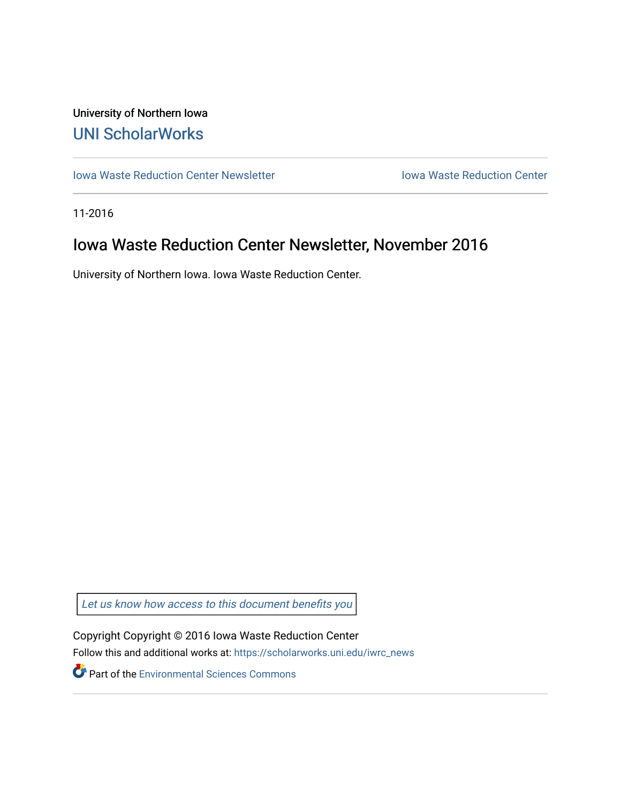## University of Northern Iowa [UNI ScholarWorks](https://scholarworks.uni.edu/)

[Iowa Waste Reduction Center Newsletter](https://scholarworks.uni.edu/iwrc_news) **Internal Communist Communist Center** Iowa Waste Reduction Center

11-2016

# Iowa Waste Reduction Center Newsletter, November 2016

University of Northern Iowa. Iowa Waste Reduction Center.

Let us know how access to this document benefits you

Copyright Copyright © 2016 Iowa Waste Reduction Center Follow this and additional works at: [https://scholarworks.uni.edu/iwrc\\_news](https://scholarworks.uni.edu/iwrc_news?utm_source=scholarworks.uni.edu%2Fiwrc_news%2F66&utm_medium=PDF&utm_campaign=PDFCoverPages) 

**Part of the [Environmental Sciences Commons](http://network.bepress.com/hgg/discipline/167?utm_source=scholarworks.uni.edu%2Fiwrc_news%2F66&utm_medium=PDF&utm_campaign=PDFCoverPages)**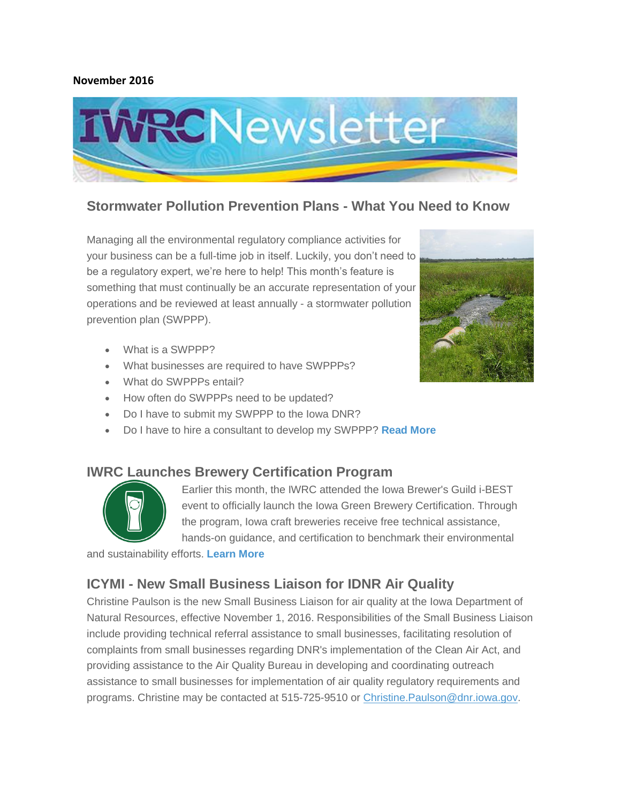#### **November 2016**



### **Stormwater Pollution Prevention Plans - What You Need to Know**

Managing all the environmental regulatory compliance activities for your business can be a full-time job in itself. Luckily, you don't need to be a regulatory expert, we're here to help! This month's feature is something that must continually be an accurate representation of your operations and be reviewed at least annually - a stormwater pollution prevention plan (SWPPP).

- What is a SWPPP?
- What businesses are required to have SWPPPs?
- What do SWPPPs entail?
- How often do SWPPPs need to be updated?
- Do I have to submit my SWPPP to the Iowa DNR?
- Do I have to hire a consultant to develop my SWPPP? **[Read More](http://iwrc.uni.edu/stormwater-pollution-prevention-plans-what-you-need-know)**

#### **IWRC Launches Brewery Certification Program**



Earlier this month, the IWRC attended the Iowa Brewer's Guild i-BEST event to officially launch the Iowa Green Brewery Certification. Through the program, Iowa craft breweries receive free technical assistance, hands-on guidance, and certification to benchmark their environmental

and sustainability efforts. **[Learn More](http://iwrc.uni.edu/green-brewery)**

#### **ICYMI - New Small Business Liaison for IDNR Air Quality**

Christine Paulson is the new Small Business Liaison for air quality at the Iowa Department of Natural Resources, effective November 1, 2016. Responsibilities of the Small Business Liaison include providing technical referral assistance to small businesses, facilitating resolution of complaints from small businesses regarding DNR's implementation of the Clean Air Act, and providing assistance to the Air Quality Bureau in developing and coordinating outreach assistance to small businesses for implementation of air quality regulatory requirements and programs. Christine may be contacted at 515-725-9510 or [Christine.Paulson@dnr.iowa.gov.](mailto:Christine.Paulson@dnr.iowa.gov)